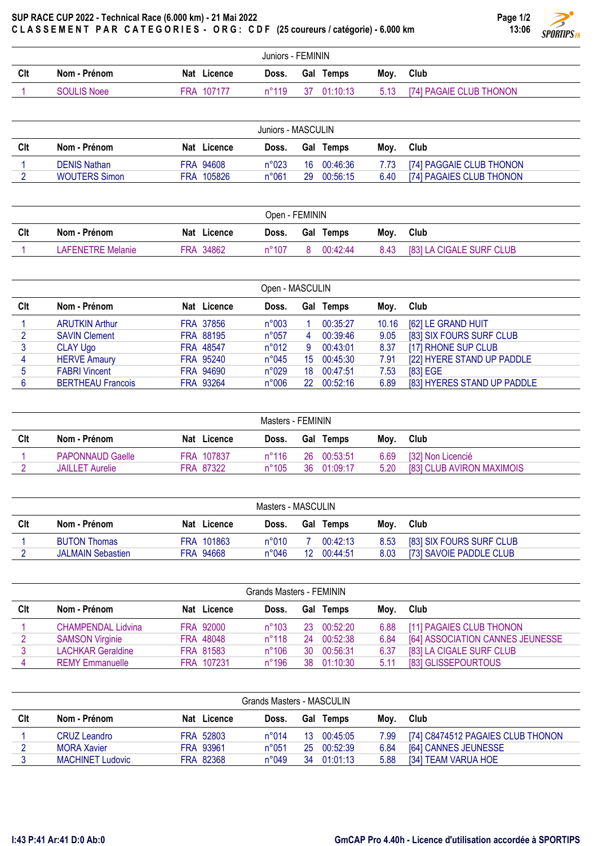## SUP RACE CUP 2022 - Technical Race (6.000 km) - 21 Mai 2022 CLASSEMENT PAR CATEGORIES - ORG: CDF (25 coureurs / catégorie) - 6.000 km

|                   | ULASSEMENI PAR UAIEGORIES - ORG: UDF (25 COUFEUTS / Categorie) - 6.000 KM |             |                |  |             |      | 13:00                   | <b>SPORTIPS.FR</b> |  |  |
|-------------------|---------------------------------------------------------------------------|-------------|----------------|--|-------------|------|-------------------------|--------------------|--|--|
| Juniors - FEMININ |                                                                           |             |                |  |             |      |                         |                    |  |  |
| Clt               | Nom - Prénom                                                              | Nat Licence | Doss.          |  | Gal Temps   | Mov. | <b>Club</b>             |                    |  |  |
|                   | <b>SOULIS Noee</b>                                                        | FRA 107177  | $n^{\circ}119$ |  | 37 01:10:13 | 5.13 | [74] PAGAIE CLUB THONON |                    |  |  |

| Juniors - MASCULIN |                      |  |             |                |    |           |      |                          |  |  |
|--------------------|----------------------|--|-------------|----------------|----|-----------|------|--------------------------|--|--|
| Clt                | Nom - Prénom         |  | Nat Licence | Doss.          |    | Gal Temps | Mov. | Club                     |  |  |
|                    | <b>DENIS Nathan</b>  |  | FRA 94608   | n°023          | 16 | 00:46:36  | 7.73 | [74] PAGGAIE CLUB THONON |  |  |
|                    | <b>WOUTERS Simon</b> |  | FRA 105826  | $n^{\circ}061$ | 29 | 00:56:15  | 6.40 | [74] PAGAIES CLUB THONON |  |  |

| Open - FEMININ |                          |             |                |  |           |      |                          |  |
|----------------|--------------------------|-------------|----------------|--|-----------|------|--------------------------|--|
| Clt            | Nom - Prénom             | Nat Licence | Doss.          |  | Gal Temps | Mov. | Club                     |  |
|                | <b>LAFENETRE Melanie</b> | FRA 34862   | $n^{\circ}107$ |  | 00:42:44  | 8.43 | [83] LA CIGALE SURF CLUB |  |

|     | Open - MASCULIN          |  |                  |                |     |          |       |                             |  |  |
|-----|--------------------------|--|------------------|----------------|-----|----------|-------|-----------------------------|--|--|
| Clt | Nom - Prénom             |  | Nat Licence      | Doss.          | Gal | Temps    | Moy.  | Club                        |  |  |
|     | <b>ARUTKIN Arthur</b>    |  | FRA 37856        | n°003          |     | 00:35:27 | 10.16 | [62] LE GRAND HUIT          |  |  |
|     | <b>SAVIN Clement</b>     |  | FRA 88195        | $n^{\circ}057$ | 4   | 00:39:46 | 9.05  | [83] SIX FOURS SURF CLUB    |  |  |
| 3   | <b>CLAY Ugo</b>          |  | <b>FRA 48547</b> | n°012          | 9   | 00:43:01 | 8.37  | [17] RHONE SUP CLUB         |  |  |
| 4   | <b>HERVE Amaury</b>      |  | FRA 95240        | $n^{\circ}045$ | 15. | 00:45:30 | 7.91  | [22] HYERE STAND UP PADDLE  |  |  |
| 5   | <b>FABRI Vincent</b>     |  | FRA 94690        | n°029          | 18  | 00:47:51 | 7.53  | [83] EGE                    |  |  |
|     | <b>BERTHEAU Francois</b> |  | FRA 93264        | n°006          | 22  | 00:52:16 | 6.89  | [83] HYERES STAND UP PADDLE |  |  |

| Masters - FEMININ |                         |            |             |                |     |                  |      |                           |  |
|-------------------|-------------------------|------------|-------------|----------------|-----|------------------|------|---------------------------|--|
| Clt               | Nom - Prénom            |            | Nat Licence | Doss.          |     | <b>Gal Temps</b> | Mov. | Club                      |  |
|                   | <b>PAPONNAUD Gaelle</b> | FRA 107837 |             | $n^{\circ}116$ | 26. | 00:53:51         | 6.69 | [32] Non Licencié         |  |
|                   | <b>JAILLET Aurelie</b>  | FRA 87322  |             | $n^{\circ}105$ | 36  | 01:09:17         | 5.20 | [83] CLUB AVIRON MAXIMOIS |  |

| Masters - MASCULIN |                          |  |             |                |                 |           |      |                          |  |  |
|--------------------|--------------------------|--|-------------|----------------|-----------------|-----------|------|--------------------------|--|--|
| Clt                | Nom - Prénom             |  | Nat Licence | Doss.          |                 | Gal Temps | Mov. | Club                     |  |  |
|                    | <b>BUTON Thomas</b>      |  | FRA 101863  | $n^{\circ}010$ |                 | 00:42:13  | 8.53 | [83] SIX FOURS SURF CLUB |  |  |
|                    | <b>JALMAIN Sebastien</b> |  | FRA 94668   | $n^{\circ}046$ | 12 <sup>°</sup> | 00:44:51  | 8.03 | [73] SAVOIE PADDLE CLUB  |  |  |

| Grands Masters - FEMININ |                           |             |                 |     |           |      |                                  |  |  |  |
|--------------------------|---------------------------|-------------|-----------------|-----|-----------|------|----------------------------------|--|--|--|
| Clt                      | Nom - Prénom              | Nat Licence | Doss.           |     | Gal Temps | Mov. | Club                             |  |  |  |
|                          | <b>CHAMPENDAL Lidvina</b> | FRA 92000   | $n^{\circ}103$  | 23. | 00:52:20  | 6.88 | [11] PAGAIES CLUB THONON         |  |  |  |
|                          | <b>SAMSON Virginie</b>    | FRA 48048   | $n^{\circ}118$  | 24  | 00:52:38  | 6.84 | [64] ASSOCIATION CANNES JEUNESSE |  |  |  |
|                          | <b>LACHKAR Geraldine</b>  | FRA 81583   | $n^{\circ}106$  | 30  | 00:56:31  | 6.37 | [83] LA CIGALE SURF CLUB         |  |  |  |
|                          | <b>REMY Emmanuelle</b>    | FRA 107231  | $n^{\circ}$ 196 | 38. | 01:10:30  | 5.11 | [83] GLISSEPOURTOUS              |  |  |  |

| Grands Masters - MASCULIN |                         |  |             |                |     |                  |      |                                   |  |  |
|---------------------------|-------------------------|--|-------------|----------------|-----|------------------|------|-----------------------------------|--|--|
| Clt                       | Nom - Prénom            |  | Nat Licence | Doss.          |     | <b>Gal Temps</b> | Mov. | Club                              |  |  |
|                           | <b>CRUZ Leandro</b>     |  | FRA 52803   | $n^{\circ}014$ | 13. | 00:45:05         | 7.99 | [74] C8474512 PAGAIES CLUB THONON |  |  |
|                           | <b>MORA Xavier</b>      |  | FRA 93961   | $n^{\circ}051$ | 25  | 00:52:39         | 6.84 | [64] CANNES JEUNESSE              |  |  |
|                           | <b>MACHINET Ludovic</b> |  | FRA 82368   | n°049          | 34  | 01:01:13         | 5.88 | [34] TEAM VARUA HOE               |  |  |

Page 1/2 13:06